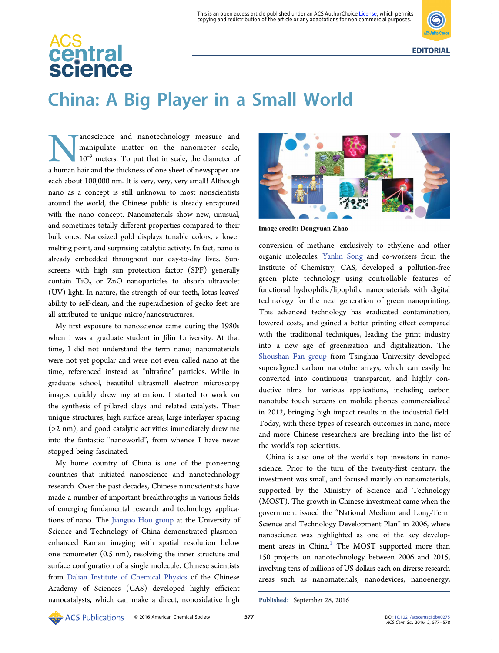# central **science**



## China: A Big Player in a Small World

**Example 10** and nanotechnology measure and manipulate matter on the nanometer scale, 10<sup>-9</sup> meters. To put that in scale, the diameter of a human hair and the thickness of one sheet of newspaper are manipulate matter on the nanometer scale, 10<sup>-9</sup> meters. To put that in scale, the diameter of each about 100,000 nm. It is very, very, very small! Although nano as a concept is still unknown to most nonscientists around the world, the Chinese public is already enraptured with the nano concept. Nanomaterials show new, unusual, and sometimes totally different properties compared to their bulk ones. Nanosized gold displays tunable colors, a lower melting point, and surprising catalytic activity. In fact, nano is already embedded throughout our day-to-day lives. Sunscreens with high sun protection factor (SPF) generally contain TiO<sub>2</sub> or ZnO nanoparticles to absorb ultraviolet (UV) light. In nature, the strength of our teeth, lotus leaves' ability to self-clean, and the superadhesion of gecko feet are all attributed to unique micro/nanostructures.

My first exposure to nanoscience came during the 1980s when I was a graduate student in Jilin University. At that time, I did not understand the term nano; nanomaterials were not yet popular and were not even called nano at the time, referenced instead as "ultrafine" particles. While in graduate school, beautiful ultrasmall electron microscopy images quickly drew my attention. I started to work on the synthesis of pillared clays and related catalysts. Their unique structures, high surface areas, large interlayer spacing (>2 nm), and good catalytic activities immediately drew me into the fantastic "nanoworld", from whence I have never stopped being fascinated.

My home country of China is one of the pioneering countries that initiated nanoscience and nanotechnology research. Over the past decades, Chinese nanoscientists have made a number of important breakthroughs in various fields of emerging fundamental research and technology applications of nano. The [Jianguo Hou group](http://nanology.ustc.edu.cn) at the University of Science and Technology of China demonstrated plasmonenhanced Raman imaging with spatial resolution below one nanometer (0.5 nm), resolving the inner structure and surface configuration of a single molecule. Chinese scientists from [Dalian Institute of Chemical Physics](http://english.dicp.cas.cn) of the Chinese Academy of Sciences (CAS) developed highly efficient nanocatalysts, which can make a direct, nonoxidative high



Image credit: Dongyuan Zhao

conversion of methane, exclusively to ethylene and other organic molecules. [Yanlin Song](http://159.226.64.162/web/29070/home) and co-workers from the Institute of Chemistry, CAS, developed a pollution-free green plate technology using controllable features of functional hydrophilic/lipophilic nanomaterials with digital technology for the next generation of green nanoprinting. This advanced technology has eradicated contamination, lowered costs, and gained a better printing effect compared with the traditional techniques, leading the print industry into a new age of greenization and digitalization. The [Shoushan Fan group](http://www.tsinghua.edu.cn/publish/newthuen/newthuen_cnt/faculties/faculties-2-3.html) from Tsinghua University developed superaligned carbon nanotube arrays, which can easily be converted into continuous, transparent, and highly conductive films for various applications, including carbon nanotube touch screens on mobile phones commercialized in 2012, bringing high impact results in the industrial field. Today, with these types of research outcomes in nano, more and more Chinese researchers are breaking into the list of the world's top scientists.

China is also one of the world's top investors in nanoscience. Prior to the turn of the twenty-first century, the investment was small, and focused mainly on nanomaterials, supported by the Ministry of Science and Technology (MOST). The growth in Chinese investment came when the government issued the "National Medium and Long-Term Science and Technology Development Plan" in 2006, where nanoscience was highlighted as one of the key develop-ment areas in China.<sup>[1](#page-1-0)</sup> The MOST supported more than 150 projects on nanotechnology between 2006 and 2015, involving tens of millions of US dollars each on diverse research areas such as nanomaterials, nanodevices, nanoenergy,

Published: September 28, 2016